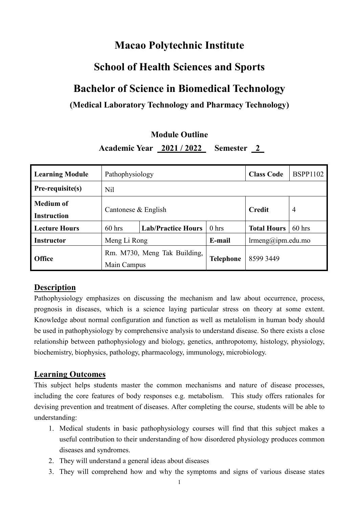# **Macao Polytechnic Institute**

# **School of Health Sciences and Sports**

# **Bachelor of Science in Biomedical Technology**

## **(Medical Laboratory Technology and Pharmacy Technology)**

## **Module Outline**

**Academic Year 2021 / 2022 Semester 2**

| <b>Learning Module</b>                 | Pathophysiology                             |                                                                    | <b>Class Code</b> | <b>BSPP1102</b>    |                |
|----------------------------------------|---------------------------------------------|--------------------------------------------------------------------|-------------------|--------------------|----------------|
| Pre-requisite(s)                       | Nil                                         |                                                                    |                   |                    |                |
| <b>Medium of</b><br><b>Instruction</b> | Cantonese & English                         |                                                                    |                   | <b>Credit</b>      | $\overline{4}$ |
| <b>Lecture Hours</b>                   | $60$ hrs                                    | <b>Lab/Practice Hours</b>                                          | 0 <sub>hrs</sub>  | <b>Total Hours</b> | $60$ hrs       |
| Instructor                             |                                             | E-mail<br>$\text{lrmeng}(\hat{\omega})$ ipm.edu.mo<br>Meng Li Rong |                   |                    |                |
| <b>Office</b>                          | Rm. M730, Meng Tak Building,<br>Main Campus |                                                                    | <b>Telephone</b>  | 8599 3449          |                |

## **Description**

Pathophysiology emphasizes on discussing the mechanism and law about occurrence, process, prognosis in diseases, which is a science laying particular stress on theory at some extent. Knowledge about normal configuration and function as well as metalolism in human body should be used in pathophysiology by comprehensive analysis to understand disease. So there exists a close relationship between pathophysiology and biology, genetics, anthropotomy, histology, physiology, biochemistry, biophysics, pathology, pharmacology, immunology, microbiology.

## **Learning Outcomes**

This subject helps students master the common mechanisms and nature of disease processes, including the core features of body responses e.g. metabolism. This study offers rationales for devising prevention and treatment of diseases. After completing the course, students will be able to understanding:

- 1. Medical students in basic pathophysiology courses will find that this subject makes a useful contribution to their understanding of how disordered physiology produces common diseases and syndromes.
- 2. They will understand a general ideas about diseases
- 3. They will comprehend how and why the symptoms and signs of various disease states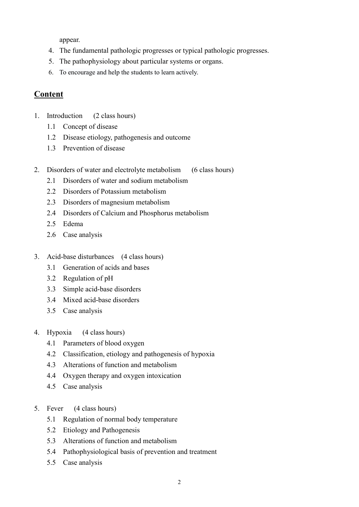appear.

- 4. The fundamental pathologic progresses or typical pathologic progresses.
- 5. The pathophysiology about particular systems or organs.
- 6. To encourage and help the students to learn actively.

## **Content**

- 1. Introduction (2 class hours)
	- 1.1 Concept of disease
	- 1.2 Disease etiology, pathogenesis and outcome
	- 1.3 Prevention of disease
- 2. Disorders of water and electrolyte metabolism (6 class hours)
	- 2.1 Disorders of water and sodium metabolism
	- 2.2 Disorders of Potassium metabolism
	- 2.3 Disorders of magnesium metabolism
	- 2.4 Disorders of Calcium and Phosphorus metabolism
	- 2.5 Edema
	- 2.6 Case analysis
- 3. Acid-base disturbances (4 class hours)
	- 3.1 Generation of acids and bases
	- 3.2 Regulation of pH
	- 3.3 Simple acid-base disorders
	- 3.4 Mixed acid-base disorders
	- 3.5 Case analysis
- 4. Hypoxia (4 class hours)
	- 4.1 Parameters of blood oxygen
	- 4.2 Classification, etiology and pathogenesis of hypoxia
	- 4.3 Alterations of function and metabolism
	- 4.4 Oxygen therapy and oxygen intoxication
	- 4.5 Case analysis
- 5. Fever (4 class hours)
	- 5.1 Regulation of normal body temperature
	- 5.2 Etiology and Pathogenesis
	- 5.3 Alterations of function and metabolism
	- 5.4 Pathophysiological basis of prevention and treatment
	- 5.5 Case analysis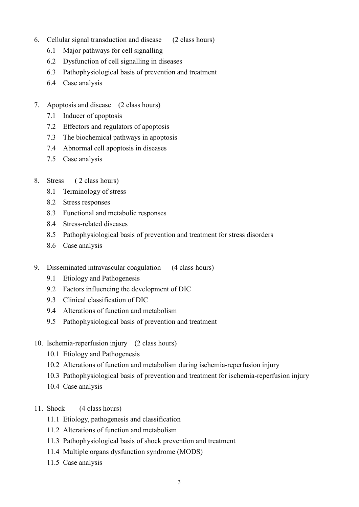- 6. Cellular signal transduction and disease (2 class hours)
	- 6.1 Major pathways for cell signalling
	- 6.2 Dysfunction of cell signalling in diseases
	- 6.3 Pathophysiological basis of prevention and treatment
	- 6.4 Case analysis
- 7. Apoptosis and disease (2 class hours)
	- 7.1 Inducer of apoptosis
	- 7.2 Effectors and regulators of apoptosis
	- 7.3 The biochemical pathways in apoptosis
	- 7.4 Abnormal cell apoptosis in diseases
	- 7.5 Case analysis

#### 8. Stress ( 2 class hours)

- 8.1 Terminology of stress
- 8.2 Stress responses
- 8.3 Functional and metabolic responses
- 8.4 Stress-related diseases
- 8.5 Pathophysiological basis of prevention and treatment for stress disorders
- 8.6 Case analysis
- 9. Disseminated intravascular coagulation (4 class hours)
	- 9.1 Etiology and Pathogenesis
	- 9.2 Factors influencing the development of DIC
	- 9.3 Clinical classification of DIC
	- 9.4 Alterations of function and metabolism
	- 9.5 Pathophysiological basis of prevention and treatment
- 10. Ischemia-reperfusion injury (2 class hours)
	- 10.1 Etiology and Pathogenesis
	- 10.2 Alterations of function and metabolism during ischemia-reperfusion injury
	- 10.3 Pathophysiological basis of prevention and treatment for ischemia-reperfusion injury
	- 10.4 Case analysis
- 11. Shock (4 class hours)
	- 11.1 Etiology, pathogenesis and classification
	- 11.2 Alterations of function and metabolism
	- 11.3 Pathophysiological basis of shock prevention and treatment
	- 11.4 Multiple organs dysfunction syndrome (MODS)
	- 11.5 Case analysis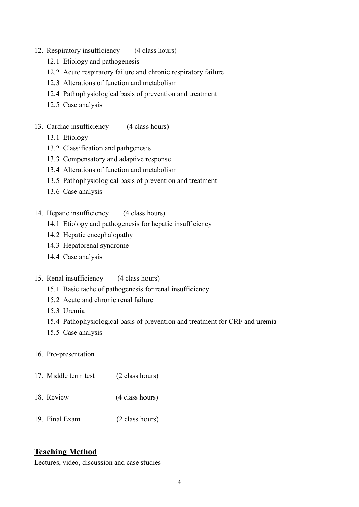- 12. Respiratory insufficiency (4 class hours)
	- 12.1 Etiology and pathogenesis
	- 12.2 Acute respiratory failure and chronic respiratory failure
	- 12.3 Alterations of function and metabolism
	- 12.4 Pathophysiological basis of prevention and treatment
	- 12.5 Case analysis
- 13. Cardiac insufficiency (4 class hours)
	- 13.1 Etiology
	- 13.2 Classification and pathgenesis
	- 13.3 Compensatory and adaptive response
	- 13.4 Alterations of function and metabolism
	- 13.5 Pathophysiological basis of prevention and treatment
	- 13.6 Case analysis
- 14. Hepatic insufficiency (4 class hours)
	- 14.1 Etiology and pathogenesis for hepatic insufficiency
	- 14.2 Hepatic encephalopathy
	- 14.3 Hepatorenal syndrome
	- 14.4 Case analysis
- 15. Renal insufficiency (4 class hours)
	- 15.1 Basic tache of pathogenesis for renal insufficiency
	- 15.2 Acute and chronic renal failure
	- 15.3 Uremia
	- 15.4 Pathophysiological basis of prevention and treatment for CRF and uremia
	- 15.5 Case analysis
- 16. Pro-presentation
- 17. Middle term test (2 class hours) 18. Review (4 class hours)
- 19. Final Exam (2 class hours)

## **Teaching Method**

Lectures, video, discussion and case studies